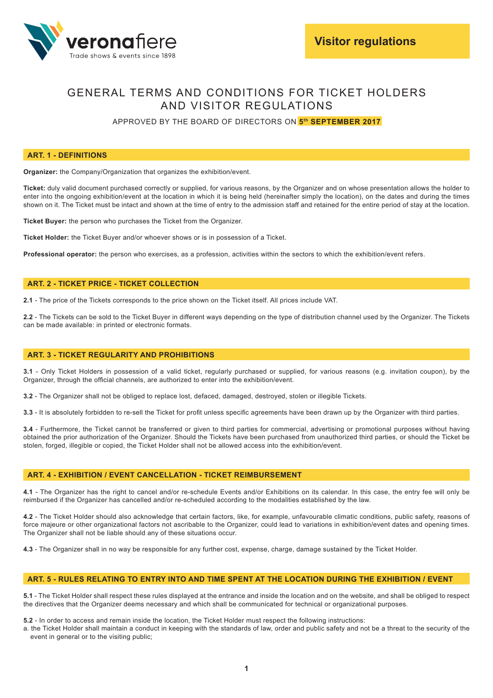

# GENERAL TERMS AND CONDITIONS FOR TICKET HOLDERS AND VISITOR REGULATIONS

APPROVED BY THE BOARD OF DIRECTORS ON **5th SEPTEMBER 2017**

## **ART. 1 - DEFINITIONS**

**Organizer:** the Company/Organization that organizes the exhibition/event.

**Ticket:** duly valid document purchased correctly or supplied, for various reasons, by the Organizer and on whose presentation allows the holder to enter into the ongoing exhibition/event at the location in which it is being held (hereinafter simply the location), on the dates and during the times shown on it. The Ticket must be intact and shown at the time of entry to the admission staff and retained for the entire period of stay at the location.

**Ticket Buyer:** the person who purchases the Ticket from the Organizer.

**Ticket Holder:** the Ticket Buyer and/or whoever shows or is in possession of a Ticket.

**Professional operator:** the person who exercises, as a profession, activities within the sectors to which the exhibition/event refers.

#### **ART. 2 - TICKET PRICE - TICKET COLLECTION**

**2.1** - The price of the Tickets corresponds to the price shown on the Ticket itself. All prices include VAT.

**2.2** - The Tickets can be sold to the Ticket Buyer in different ways depending on the type of distribution channel used by the Organizer. The Tickets can be made available: in printed or electronic formats.

#### **ART. 3 - TICKET REGULARITY AND PROHIBITIONS**

**3.1** - Only Ticket Holders in possession of a valid ticket, regularly purchased or supplied, for various reasons (e.g. invitation coupon), by the Organizer, through the official channels, are authorized to enter into the exhibition/event.

**3.2** - The Organizer shall not be obliged to replace lost, defaced, damaged, destroyed, stolen or illegible Tickets.

**3.3** - It is absolutely forbidden to re-sell the Ticket for profit unless specific agreements have been drawn up by the Organizer with third parties.

**3.4** - Furthermore, the Ticket cannot be transferred or given to third parties for commercial, advertising or promotional purposes without having obtained the prior authorization of the Organizer. Should the Tickets have been purchased from unauthorized third parties, or should the Ticket be stolen, forged, illegible or copied, the Ticket Holder shall not be allowed access into the exhibition/event.

### **ART. 4 - EXHIBITION / EVENT CANCELLATION - TICKET REIMBURSEMENT**

**4.1** - The Organizer has the right to cancel and/or re-schedule Events and/or Exhibitions on its calendar. In this case, the entry fee will only be reimbursed if the Organizer has cancelled and/or re-scheduled according to the modalities established by the law.

**4.2** - The Ticket Holder should also acknowledge that certain factors, like, for example, unfavourable climatic conditions, public safety, reasons of force majeure or other organizational factors not ascribable to the Organizer, could lead to variations in exhibition/event dates and opening times. The Organizer shall not be liable should any of these situations occur.

**4.3** - The Organizer shall in no way be responsible for any further cost, expense, charge, damage sustained by the Ticket Holder.

### **ART. 5 - RULES RELATING TO ENTRY INTO AND TIME SPENT AT THE LOCATION DURING THE EXHIBITION / EVENT**

**5.1** - The Ticket Holder shall respect these rules displayed at the entrance and inside the location and on the website, and shall be obliged to respect the directives that the Organizer deems necessary and which shall be communicated for technical or organizational purposes.

**5.2** - In order to access and remain inside the location, the Ticket Holder must respect the following instructions:

a. the Ticket Holder shall maintain a conduct in keeping with the standards of law, order and public safety and not be a threat to the security of the event in general or to the visiting public;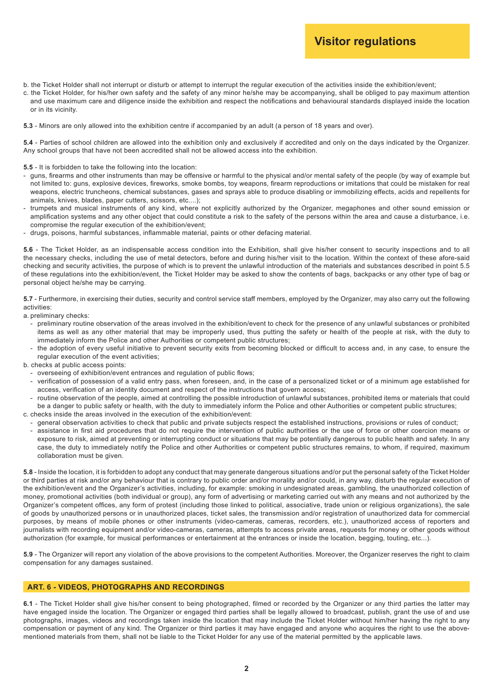# **Visitor regulations**

- b. the Ticket Holder shall not interrupt or disturb or attempt to interrupt the regular execution of the activities inside the exhibition/event;
- c. the Ticket Holder, for his/her own safety and the safety of any minor he/she may be accompanying, shall be obliged to pay maximum attention and use maximum care and diligence inside the exhibition and respect the notifications and behavioural standards displayed inside the location or in its vicinity.
- **5.3** Minors are only allowed into the exhibition centre if accompanied by an adult (a person of 18 years and over).

**5.4** - Parties of school children are allowed into the exhibition only and exclusively if accredited and only on the days indicated by the Organizer. Any school groups that have not been accredited shall not be allowed access into the exhibition.

#### **5.5** - It is forbidden to take the following into the location:

- guns, fi rearms and other instruments than may be offensive or harmful to the physical and/or mental safety of the people (by way of example but not limited to: guns, explosive devices, fireworks, smoke bombs, toy weapons, firearm reproductions or imitations that could be mistaken for real weapons, electric truncheons, chemical substances, gases and sprays able to produce disabling or immobilizing effects, acids and repellents for animals, knives, blades, paper cutters, scissors, etc....);
- trumpets and musical instruments of any kind, where not explicitly authorized by the Organizer, megaphones and other sound emission or amplification systems and any other object that could constitute a risk to the safety of the persons within the area and cause a disturbance, i.e. compromise the regular execution of the exhibition/event;
- drugs, poisons, harmful substances, inflammable material, paints or other defacing material.

**5.6** - The Ticket Holder, as an indispensable access condition into the Exhibition, shall give his/her consent to security inspections and to all the necessary checks, including the use of metal detectors, before and during his/her visit to the location. Within the context of these afore-said checking and security activities, the purpose of which is to prevent the unlawful introduction of the materials and substances described in point 5.5 of these regulations into the exhibition/event, the Ticket Holder may be asked to show the contents of bags, backpacks or any other type of bag or personal object he/she may be carrying.

**5.7** - Furthermore, in exercising their duties, security and control service staff members, employed by the Organizer, may also carry out the following activities:

a. preliminary checks:

- preliminary routine observation of the areas involved in the exhibition/event to check for the presence of any unlawful substances or prohibited items as well as any other material that may be improperly used, thus putting the safety or health of the people at risk, with the duty to immediately inform the Police and other Authorities or competent public structures;
- the adoption of every useful initiative to prevent security exits from becoming blocked or difficult to access and, in any case, to ensure the regular execution of the event activities;
- b. checks at public access points:
	- overseeing of exhibition/event entrances and regulation of public flows;
	- verification of possession of a valid entry pass, when foreseen, and, in the case of a personalized ticket or of a minimum age established for access, verification of an identity document and respect of the instructions that govern access;
	- routine observation of the people, aimed at controlling the possible introduction of unlawful substances, prohibited items or materials that could be a danger to public safety or health, with the duty to immediately inform the Police and other Authorities or competent public structures;
- c. checks inside the areas involved in the execution of the exhibition/event:
	- general observation activities to check that public and private subjects respect the established instructions, provisions or rules of conduct;
	- assistance in first aid procedures that do not require the intervention of public authorities or the use of force or other coercion means or exposure to risk, aimed at preventing or interrupting conduct or situations that may be potentially dangerous to public health and safety. In any case, the duty to immediately notify the Police and other Authorities or competent public structures remains, to whom, if required, maximum collaboration must be given.

**5.8** - Inside the location, it is forbidden to adopt any conduct that may generate dangerous situations and/or put the personal safety of the Ticket Holder or third parties at risk and/or any behaviour that is contrary to public order and/or morality and/or could, in any way, disturb the regular execution of the exhibition/event and the Organizer's activities, including, for example: smoking in undesignated areas, gambling, the unauthorized collection of money, promotional activities (both individual or group), any form of advertising or marketing carried out with any means and not authorized by the Organizer's competent offices, any form of protest (including those linked to political, associative, trade union or religious organizations), the sale of goods by unauthorized persons or in unauthorized places, ticket sales, the transmission and/or registration of unauthorized data for commercial purposes, by means of mobile phones or other instruments (video-cameras, cameras, recorders, etc.), unauthorized access of reporters and journalists with recording equipment and/or video-cameras, cameras, attempts to access private areas, requests for money or other goods without authorization (for example, for musical performances or entertainment at the entrances or inside the location, begging, touting, etc...).

**5.9** - The Organizer will report any violation of the above provisions to the competent Authorities. Moreover, the Organizer reserves the right to claim compensation for any damages sustained.

# **ART. 6 - VIDEOS, PHOTOGRAPHS AND RECORDINGS**

6.1 - The Ticket Holder shall give his/her consent to being photographed, filmed or recorded by the Organizer or any third parties the latter may have engaged inside the location. The Organizer or engaged third parties shall be legally allowed to broadcast, publish, grant the use of and use photographs, images, videos and recordings taken inside the location that may include the Ticket Holder without him/her having the right to any compensation or payment of any kind. The Organizer or third parties it may have engaged and anyone who acquires the right to use the abovementioned materials from them, shall not be liable to the Ticket Holder for any use of the material permitted by the applicable laws.